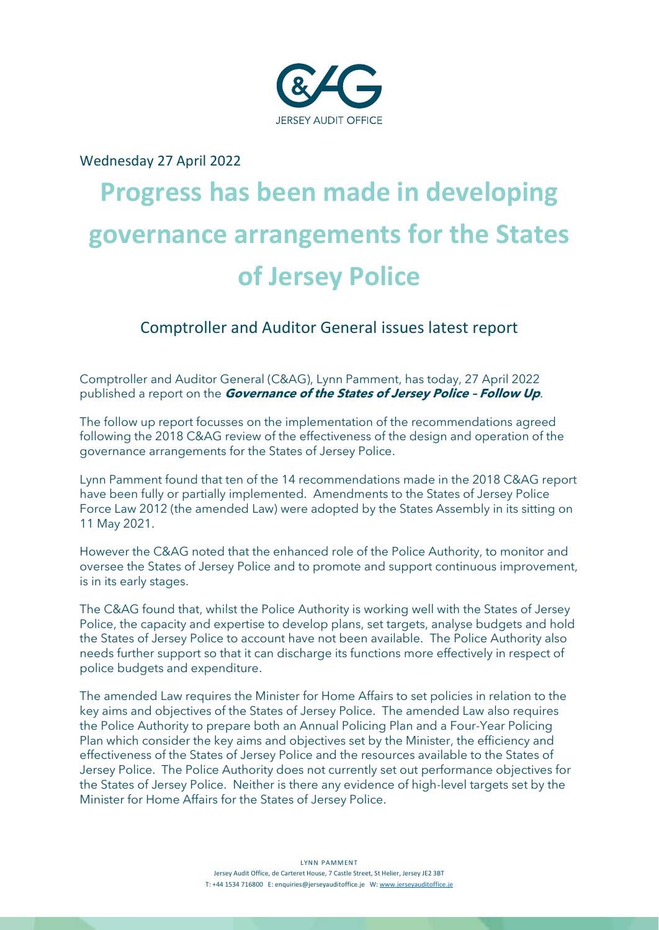

# Wednesday 27 April 2022

# **Progress has been made in developing governance arrangements for the States of Jersey Police**

# Comptroller and Auditor General issues latest report

Comptroller and Auditor General (C&AG), Lynn Pamment, has today, 27 April 2022 published a report on the **Governance of the States of Jersey Police – Follow Up**.

The follow up report focusses on the implementation of the recommendations agreed following the 2018 C&AG review of the effectiveness of the design and operation of the governance arrangements for the States of Jersey Police.

Lynn Pamment found that ten of the 14 recommendations made in the 2018 C&AG report have been fully or partially implemented. Amendments to the States of Jersey Police Force Law 2012 (the amended Law) were adopted by the States Assembly in its sitting on 11 May 2021.

However the C&AG noted that the enhanced role of the Police Authority, to monitor and oversee the States of Jersey Police and to promote and support continuous improvement, is in its early stages.

The C&AG found that, whilst the Police Authority is working well with the States of Jersey Police, the capacity and expertise to develop plans, set targets, analyse budgets and hold the States of Jersey Police to account have not been available. The Police Authority also needs further support so that it can discharge its functions more effectively in respect of police budgets and expenditure.

The amended Law requires the Minister for Home Affairs to set policies in relation to the key aims and objectives of the States of Jersey Police. The amended Law also requires the Police Authority to prepare both an Annual Policing Plan and a Four-Year Policing Plan which consider the key aims and objectives set by the Minister, the efficiency and effectiveness of the States of Jersey Police and the resources available to the States of Jersey Police. The Police Authority does not currently set out performance objectives for the States of Jersey Police. Neither is there any evidence of high-level targets set by the Minister for Home Affairs for the States of Jersey Police.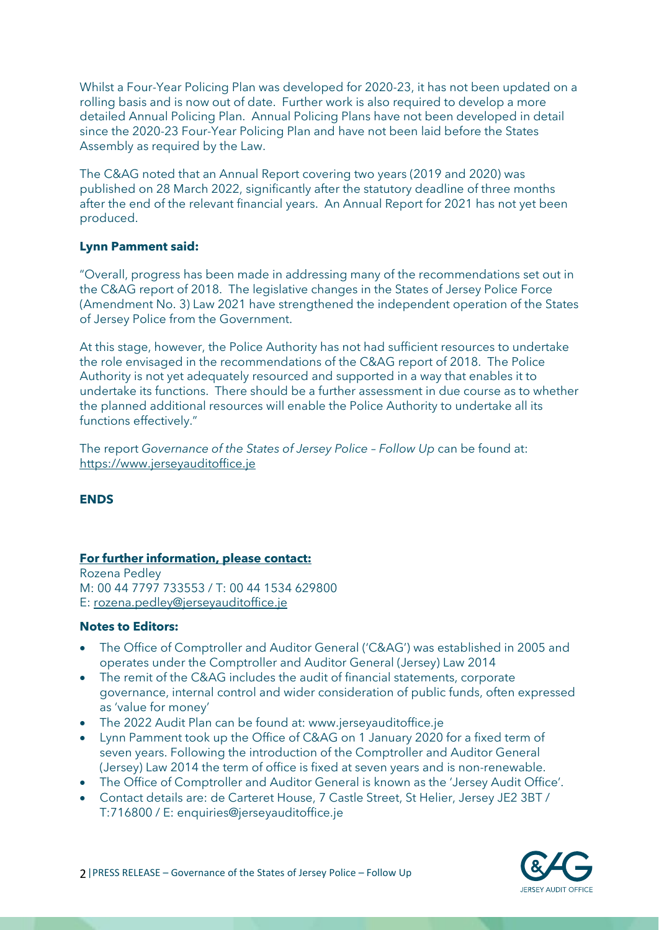Whilst a Four-Year Policing Plan was developed for 2020-23, it has not been updated on a rolling basis and is now out of date. Further work is also required to develop a more detailed Annual Policing Plan. Annual Policing Plans have not been developed in detail since the 2020-23 Four-Year Policing Plan and have not been laid before the States Assembly as required by the Law.

The C&AG noted that an Annual Report covering two years (2019 and 2020) was published on 28 March 2022, significantly after the statutory deadline of three months after the end of the relevant financial years. An Annual Report for 2021 has not yet been produced.

#### **Lynn Pamment said:**

"Overall, progress has been made in addressing many of the recommendations set out in the C&AG report of 2018. The legislative changes in the States of Jersey Police Force (Amendment No. 3) Law 2021 have strengthened the independent operation of the States of Jersey Police from the Government.

At this stage, however, the Police Authority has not had sufficient resources to undertake the role envisaged in the recommendations of the C&AG report of 2018. The Police Authority is not yet adequately resourced and supported in a way that enables it to undertake its functions. There should be a further assessment in due course as to whether the planned additional resources will enable the Police Authority to undertake all its functions effectively."

The report *Governance of the States of Jersey Police – Follow Up* can be found at: [https://www.jerseyauditoffice.je](https://www.jerseyauditoffice.je/)

#### **ENDS**

## **For further information, please contact:**

Rozena Pedley M: 00 44 7797 733553 / T: 00 44 1534 629800 E: [rozena.pedley@jerseyauditoffice.je](mailto:rozena.pedley@jerseyauditoffice.je)

# **Notes to Editors:**

- The Office of Comptroller and Auditor General ('C&AG') was established in 2005 and operates under the Comptroller and Auditor General (Jersey) Law 2014
- The remit of the C&AG includes the audit of financial statements, corporate governance, internal control and wider consideration of public funds, often expressed as 'value for money'
- The 2022 Audit Plan can be found at: www.jerseyauditoffice.je
- Lynn Pamment took up the Office of C&AG on 1 January 2020 for a fixed term of seven years. Following the introduction of the Comptroller and Auditor General (Jersey) Law 2014 the term of office is fixed at seven years and is non-renewable.
- The Office of Comptroller and Auditor General is known as the 'Jersey Audit Office'.
- Contact details are: de Carteret House, 7 Castle Street, St Helier, Jersey JE2 3BT / T:716800 / E: enquiries@jerseyauditoffice.je